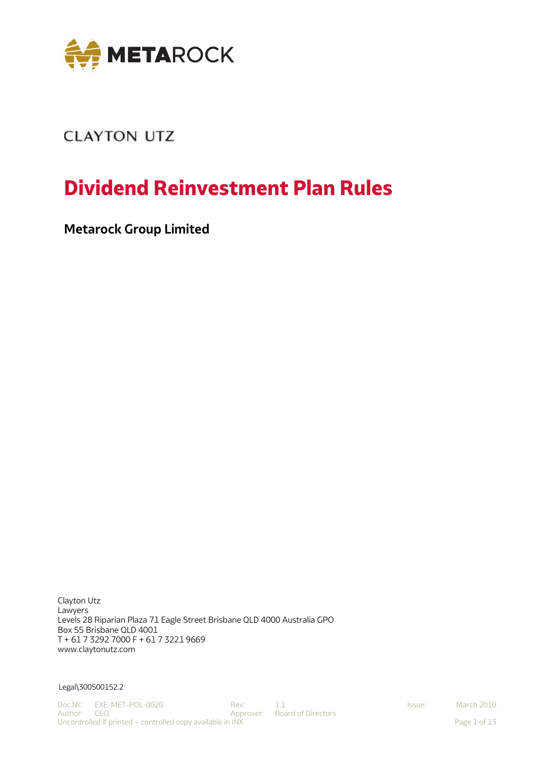

# **CLAYTON UTZ**

# **Dividend Reinvestment Plan Rules**

**Metarock Group Limited**

Clayton Utz Lawyers Levels 28 Riparian Plaza 71 Eagle Street Brisbane QLD 4000 Australia GPO Box 55 Brisbane QLD 4001 T + 61 7 3292 7000 F + 61 7 3221 9669 [www.claytonutz.com](http://www.claytonutz.com/)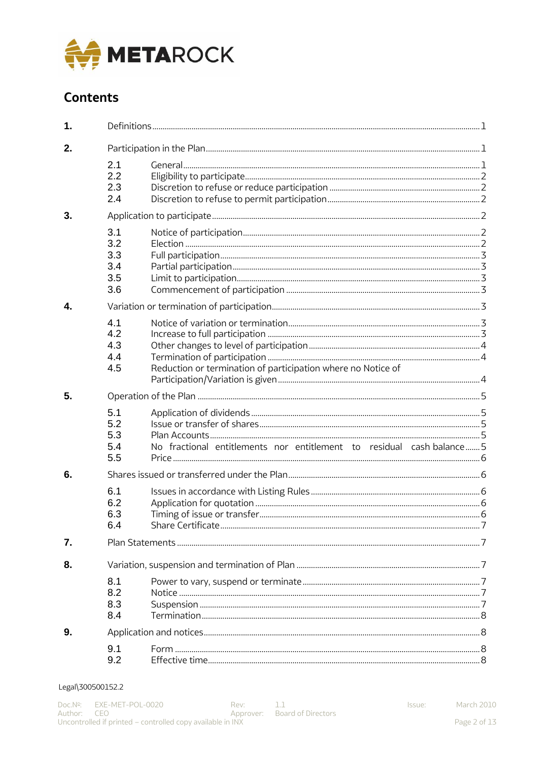

# **Contents**

| 1. |                                        |                                                                      |  |
|----|----------------------------------------|----------------------------------------------------------------------|--|
| 2. |                                        |                                                                      |  |
|    | 2.1<br>2.2<br>2.3<br>2.4               |                                                                      |  |
| 3. |                                        |                                                                      |  |
|    | 3.1<br>3.2<br>3.3<br>3.4<br>3.5<br>3.6 |                                                                      |  |
| 4. |                                        |                                                                      |  |
|    | 4.1<br>4.2<br>4.3<br>4.4<br>4.5        | Reduction or termination of participation where no Notice of         |  |
| 5. |                                        |                                                                      |  |
|    | 5.1<br>5.2<br>5.3<br>5.4<br>5.5        | No fractional entitlements nor entitlement to residual cash-balance5 |  |
| 6. |                                        |                                                                      |  |
|    | 6.1<br>6.2<br>6.3<br>6.4               |                                                                      |  |
| 7. |                                        |                                                                      |  |
| 8. |                                        |                                                                      |  |
|    | 8.1<br>8.2<br>8.3<br>8.4               |                                                                      |  |
| 9. |                                        |                                                                      |  |
|    | 9.1<br>9.2                             |                                                                      |  |

# Legal\300500152.2

Issue: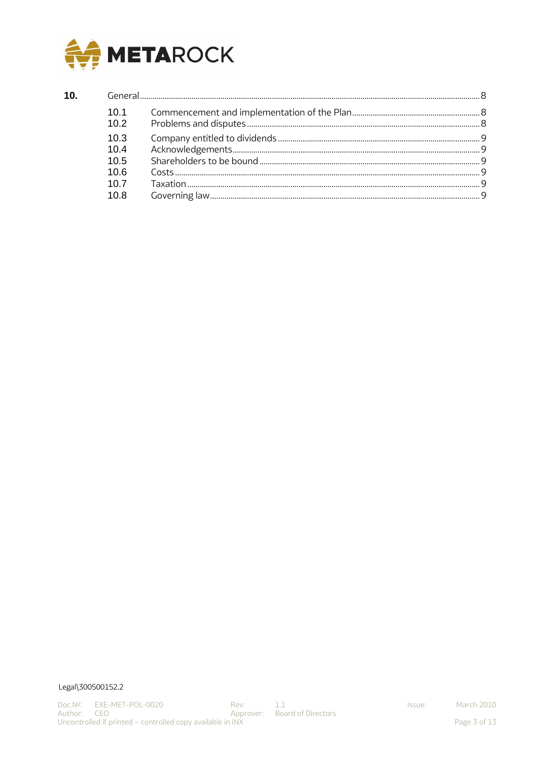

# $10.$

| 10.1<br>10.2 |  |  |  |
|--------------|--|--|--|
| 10.3<br>10.4 |  |  |  |
| 10.5         |  |  |  |
| 10.6         |  |  |  |
| 10.7         |  |  |  |
| 10.8         |  |  |  |

# Legal\300500152.2

Issue: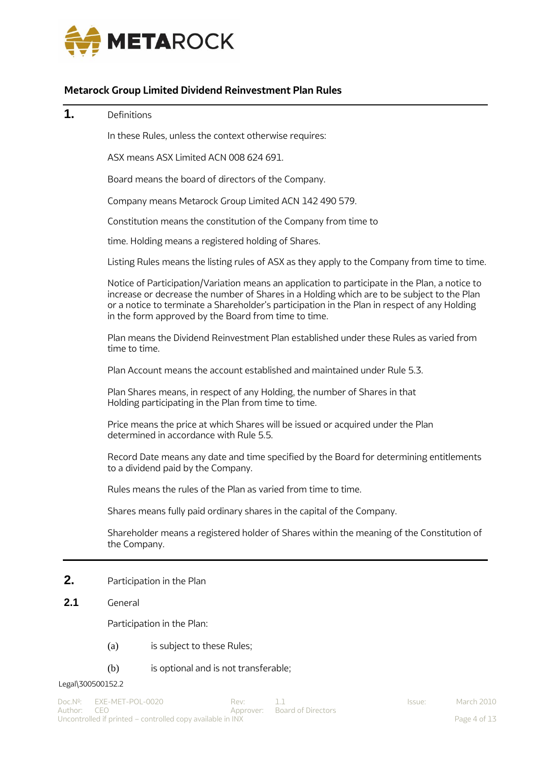

# **Metarock Group Limited Dividend Reinvestment Plan Rules**

# <span id="page-3-0"></span>**1.** Definitions

In these Rules, unless the context otherwise requires:

ASX means ASX Limited ACN 008 624 691.

Board means the board of directors of the Company.

Company means Metarock Group Limited ACN 142 490 579.

Constitution means the constitution of the Company from time to

time. Holding means a registered holding of Shares.

Listing Rules means the listing rules of ASX as they apply to the Company from time to time.

Notice of Participation/Variation means an application to participate in the Plan, a notice to increase or decrease the number of Shares in a Holding which are to be subject to the Plan or a notice to terminate a Shareholder's participation in the Plan in respect of any Holding in the form approved by the Board from time to time.

Plan means the Dividend Reinvestment Plan established under these Rules as varied from time to time.

Plan Account means the account established and maintained under Rule [5.3.](#page-7-3)

Plan Shares means, in respect of any Holding, the number of Shares in that Holding participating in the Plan from time to time.

Price means the price at which Shares will be issued or acquired under the Plan determined in accordance with Rule [5.5.](#page-8-1)

Record Date means any date and time specified by the Board for determining entitlements to a dividend paid by the Company.

Rules means the rules of the Plan as varied from time to time.

Shares means fully paid ordinary shares in the capital of the Company.

Shareholder means a registered holder of Shares within the meaning of the Constitution of the Company.

# <span id="page-3-1"></span>**2.** Participation in the Plan

# <span id="page-3-2"></span>**2.1** General

Participation in the Plan:

- (a) is subject to these Rules;
- (b) is optional and is not transferable;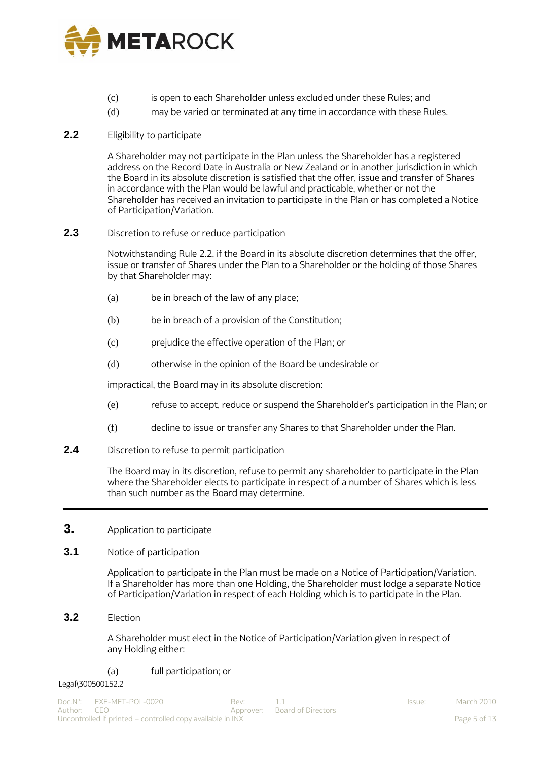

- (c) is open to each Shareholder unless excluded under these Rules; and
- (d) may be varied or terminated at any time in accordance with these Rules.

# <span id="page-4-0"></span>**2.2** Eligibility to participate

A Shareholder may not participate in the Plan unless the Shareholder has a registered address on the Record Date in Australia or New Zealand or in another jurisdiction in which the Board in its absolute discretion is satisfied that the offer, issue and transfer of Shares in accordance with the Plan would be lawful and practicable, whether or not the Shareholder has received an invitation to participate in the Plan or has completed a Notice of Participation/Variation.

# <span id="page-4-1"></span>**2.3** Discretion to refuse or reduce participation

Notwithstanding Rule [2.2, i](#page-4-0)f the Board in its absolute discretion determines that the offer, issue or transfer of Shares under the Plan to a Shareholder or the holding of those Shares by that Shareholder may:

- (a) be in breach of the law of any place;
- (b) be in breach of a provision of the Constitution;
- (c) prejudice the effective operation of the Plan; or
- (d) otherwise in the opinion of the Board be undesirable or

impractical, the Board may in its absolute discretion:

- (e) refuse to accept, reduce or suspend the Shareholder's participation in the Plan; or
- (f) decline to issue or transfer any Shares to that Shareholder under the Plan.
- <span id="page-4-2"></span>**2.4** Discretion to refuse to permit participation

The Board may in its discretion, refuse to permit any shareholder to participate in the Plan where the Shareholder elects to participate in respect of a number of Shares which is less than such number as the Board may determine.

# <span id="page-4-3"></span>**3.** Application to participate

# <span id="page-4-4"></span>**3.1** Notice of participation

Application to participate in the Plan must be made on a Notice of Participation/Variation. If a Shareholder has more than one Holding, the Shareholder must lodge a separate Notice of Participation/Variation in respect of each Holding which is to participate in the Plan.

<span id="page-4-5"></span>**3.2** Election

A Shareholder must elect in the Notice of Participation/Variation given in respect of any Holding either:

# (a) full participation; or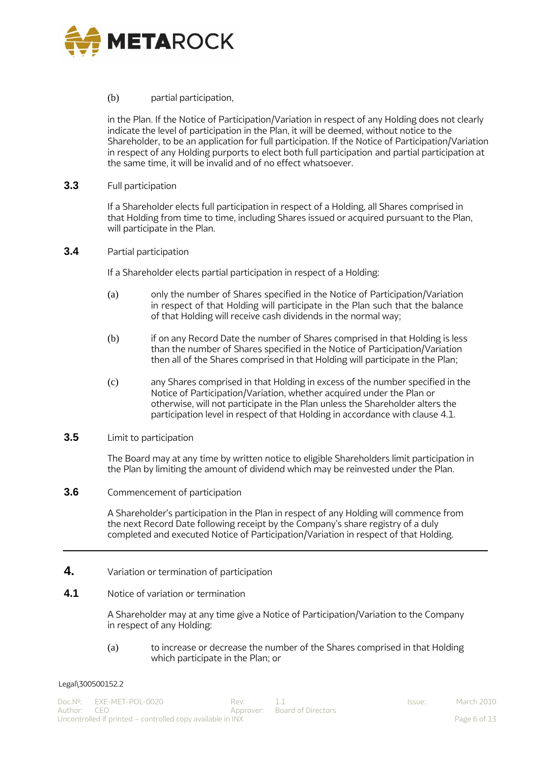

# (b) partial participation,

in the Plan. If the Notice of Participation/Variation in respect of any Holding does not clearly indicate the level of participation in the Plan, it will be deemed, without notice to the Shareholder, to be an application for full participation. If the Notice of Participation/Variation in respect of any Holding purports to elect both full participation and partial participation at the same time, it will be invalid and of no effect whatsoever.

<span id="page-5-0"></span>**3.3** Full participation

If a Shareholder elects full participation in respect of a Holding, all Shares comprised in that Holding from time to time, including Shares issued or acquired pursuant to the Plan, will participate in the Plan.

# <span id="page-5-1"></span>**3.4** Partial participation

If a Shareholder elects partial participation in respect of a Holding:

- (a) only the number of Shares specified in the Notice of Participation/Variation in respect of that Holding will participate in the Plan such that the balance of that Holding will receive cash dividends in the normal way;
- (b) if on any Record Date the number of Shares comprised in that Holding is less than the number of Shares specified in the Notice of Participation/Variation then all of the Shares comprised in that Holding will participate in the Plan;
- (c) any Shares comprised in that Holding in excess of the number specified in the Notice of Participation/Variation, whether acquired under the Plan or otherwise, will not participate in the Plan unless the Shareholder alters the participation level in respect of that Holding in accordance with clause [4.1.](#page-5-5)

# <span id="page-5-2"></span>**3.5** Limit to participation

The Board may at any time by written notice to eligible Shareholders limit participation in the Plan by limiting the amount of dividend which may be reinvested under the Plan.

<span id="page-5-3"></span>**3.6** Commencement of participation

A Shareholder's participation in the Plan in respect of any Holding will commence from the next Record Date following receipt by the Company's share registry of a duly completed and executed Notice of Participation/Variation in respect of that Holding.

- <span id="page-5-4"></span>**4.** Variation or termination of participation
- <span id="page-5-5"></span>**4.1** Notice of variation or termination

A Shareholder may at any time give a Notice of Participation/Variation to the Company in respect of any Holding:

(a) to increase or decrease the number of the Shares comprised in that Holding which participate in the Plan; or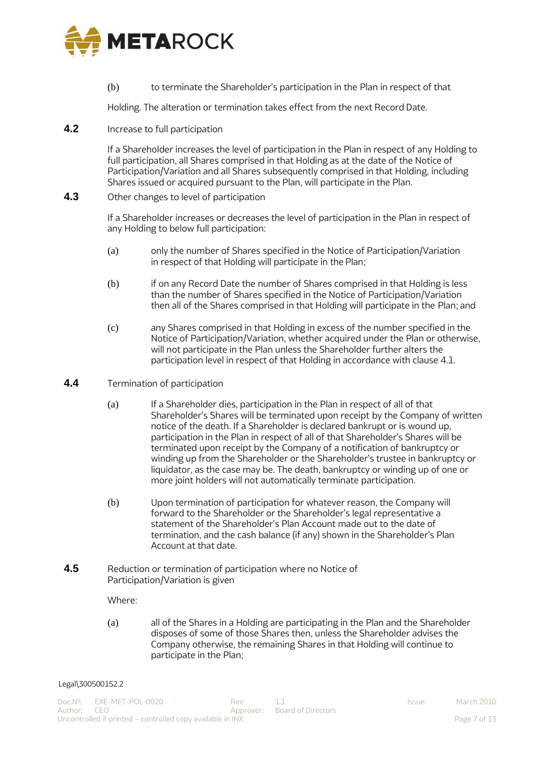

(b) to terminate the Shareholder's participation in the Plan in respect of that

Holding. The alteration or termination takes effect from the next Record Date.

<span id="page-6-0"></span>**4.2** Increase to full participation

If a Shareholder increases the level of participation in the Plan in respect of any Holding to full participation, all Shares comprised in that Holding as at the date of the Notice of Participation/Variation and all Shares subsequently comprised in that Holding, including Shares issued or acquired pursuant to the Plan, will participate in the Plan.

<span id="page-6-1"></span>**4.3** Other changes to level of participation

If a Shareholder increases or decreases the level of participation in the Plan in respect of any Holding to below full participation:

- (a) only the number of Shares specified in the Notice of Participation/Variation in respect of that Holding will participate in the Plan;
- (b) if on any Record Date the number of Shares comprised in that Holding is less than the number of Shares specified in the Notice of Participation/Variation then all of the Shares comprised in that Holding will participate in the Plan; and
- (c) any Shares comprised in that Holding in excess of the number specified in the Notice of Participation/Variation, whether acquired under the Plan or otherwise, will not participate in the Plan unless the Shareholder further alters the participation level in respect of that Holding in accordance with clause [4.1.](#page-5-5)
- <span id="page-6-2"></span>**4.4** Termination of participation
	- (a) If a Shareholder dies, participation in the Plan in respect of all of that Shareholder's Shares will be terminated upon receipt by the Company of written notice of the death. If a Shareholder is declared bankrupt or is wound up, participation in the Plan in respect of all of that Shareholder's Shares will be terminated upon receipt by the Company of a notification of bankruptcy or winding up from the Shareholder or the Shareholder's trustee in bankruptcy or liquidator, as the case may be. The death, bankruptcy or winding up of one or more joint holders will not automatically terminate participation.
	- (b) Upon termination of participation for whatever reason, the Company will forward to the Shareholder or the Shareholder's legal representative a statement of the Shareholder's Plan Account made out to the date of termination, and the cash balance (if any) shown in the Shareholder's Plan Account at that date.
- <span id="page-6-3"></span>**4.5** Reduction or termination of participation where no Notice of Participation/Variation is given

Where:

(a) all of the Shares in a Holding are participating in the Plan and the Shareholder disposes of some of those Shares then, unless the Shareholder advises the Company otherwise, the remaining Shares in that Holding will continue to participate in the Plan;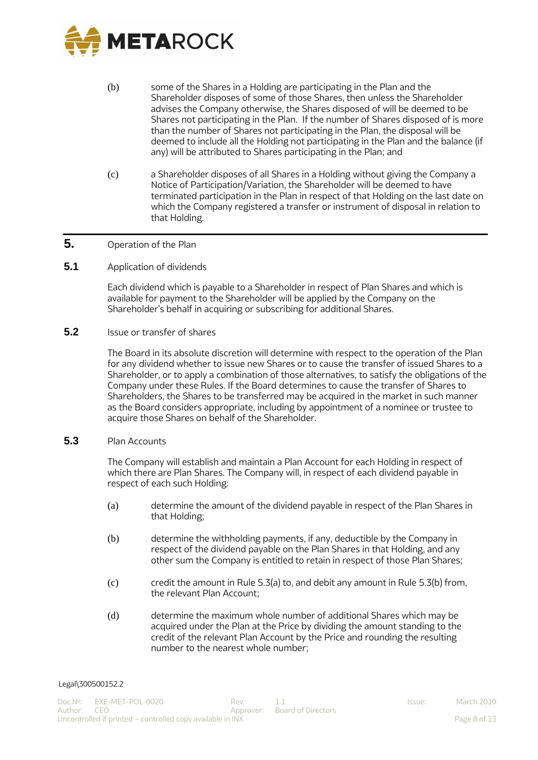

- (b) some of the Shares in a Holding are participating in the Plan and the Shareholder disposes of some of those Shares, then unless the Shareholder advises the Company otherwise, the Shares disposed of will be deemed to be Shares not participating in the Plan. If the number of Shares disposed of is more than the number of Shares not participating in the Plan, the disposal will be deemed to include all the Holding not participating in the Plan and the balance (if any) will be attributed to Shares participating in the Plan; and
- (c) a Shareholder disposes of all Shares in a Holding without giving the Company a Notice of Participation/Variation, the Shareholder will be deemed to have terminated participation in the Plan in respect of that Holding on the last date on which the Company registered a transfer or instrument of disposal in relation to that Holding.

# <span id="page-7-0"></span>**5.** Operation of the Plan

<span id="page-7-1"></span>**5.1** Application of dividends

Each dividend which is payable to a Shareholder in respect of Plan Shares and which is available for payment to the Shareholder will be applied by the Company on the Shareholder's behalf in acquiring or subscribing for additional Shares.

# <span id="page-7-2"></span>**5.2** Issue or transfer of shares

The Board in its absolute discretion will determine with respect to the operation of the Plan for any dividend whether to issue new Shares or to cause the transfer of issued Shares to a Shareholder, or to apply a combination of those alternatives, to satisfy the obligations of the Company under these Rules. If the Board determines to cause the transfer of Shares to Shareholders, the Shares to be transferred may be acquired in the market in such manner as the Board considers appropriate, including by appointment of a nominee or trustee to acquire those Shares on behalf of the Shareholder.

# <span id="page-7-3"></span>**5.3** Plan Accounts

The Company will establish and maintain a Plan Account for each Holding in respect of which there are Plan Shares. The Company will, in respect of each dividend payable in respect of each such Holding:

- <span id="page-7-4"></span>(a) determine the amount of the dividend payable in respect of the Plan Shares in that Holding;
- <span id="page-7-5"></span>(b) determine the withholding payments, if any, deductible by the Company in respect of the dividend payable on the Plan Shares in that Holding, and any other sum the Company is entitled to retain in respect of those Plan Shares;
- (c) credit the amount in Rule [5.3\(a\) t](#page-7-4)o, and debit any amount in Rule [5.3\(b\) f](#page-7-5)rom, the relevant Plan Account;
- <span id="page-7-6"></span>(d) determine the maximum whole number of additional Shares which may be acquired under the Plan at the Price by dividing the amount standing to the credit of the relevant Plan Account by the Price and rounding the resulting number to the nearest whole number;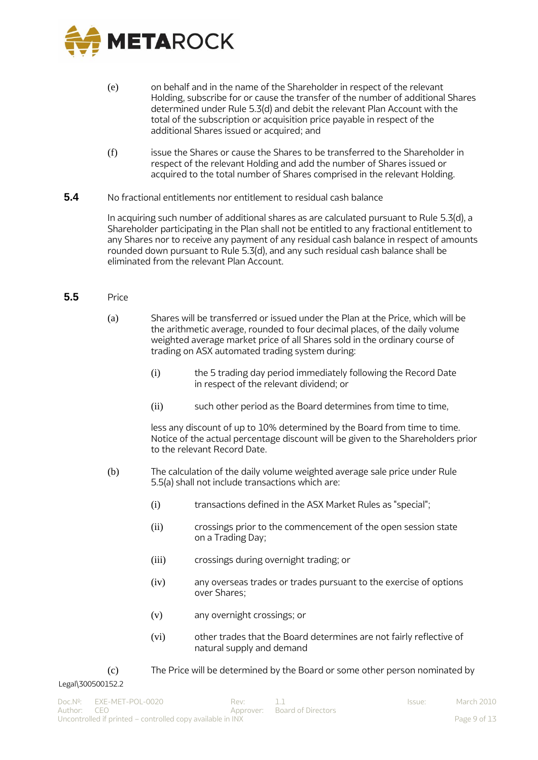

- (e) on behalf and in the name of the Shareholder in respect of the relevant Holding, subscribe for or cause the transfer of the number of additional Shares determined under Rule [5.3\(d\) a](#page-7-6)nd debit the relevant Plan Account with the total of the subscription or acquisition price payable in respect of the additional Shares issued or acquired; and
- (f) issue the Shares or cause the Shares to be transferred to the Shareholder in respect of the relevant Holding and add the number of Shares issued or acquired to the total number of Shares comprised in the relevant Holding.
- <span id="page-8-0"></span>**5.4** No fractional entitlements nor entitlement to residual cash balance

In acquiring such number of additional shares as are calculated pursuant to Rule [5.3\(d\),](#page-7-3) a Shareholder participating in the Plan shall not be entitled to any fractional entitlement to any Shares nor to receive any payment of any residual cash balance in respect of amounts rounded down pursuant to Rul[e 5.3\(d\), a](#page-7-3)nd any such residual cash balance shall be eliminated from the relevant Plan Account.

- <span id="page-8-1"></span>**5.5** Price
	- (a) Shares will be transferred or issued under the Plan at the Price, which will be the arithmetic average, rounded to four decimal places, of the daily volume weighted average market price of all Shares sold in the ordinary course of trading on ASX automated trading system during:
		- (i) the 5 trading day period immediately following the Record Date in respect of the relevant dividend; or
		- (ii) such other period as the Board determines from time to time,

less any discount of up to 10% determined by the Board from time to time. Notice of the actual percentage discount will be given to the Shareholders prior to the relevant Record Date.

- (b) The calculation of the daily volume weighted average sale price under Rule 5.5(a) shall not include transactions which are:
	- (i) transactions defined in the ASX Market Rules as "special";
	- (ii) crossings prior to the commencement of the open session state on a Trading Day;
	- (iii) crossings during overnight trading; or
	- (iv) any overseas trades or trades pursuant to the exercise of options over Shares;
	- (v) any overnight crossings; or
	- (vi) other trades that the Board determines are not fairly reflective of natural supply and demand
- (c) The Price will be determined by the Board or some other person nominated by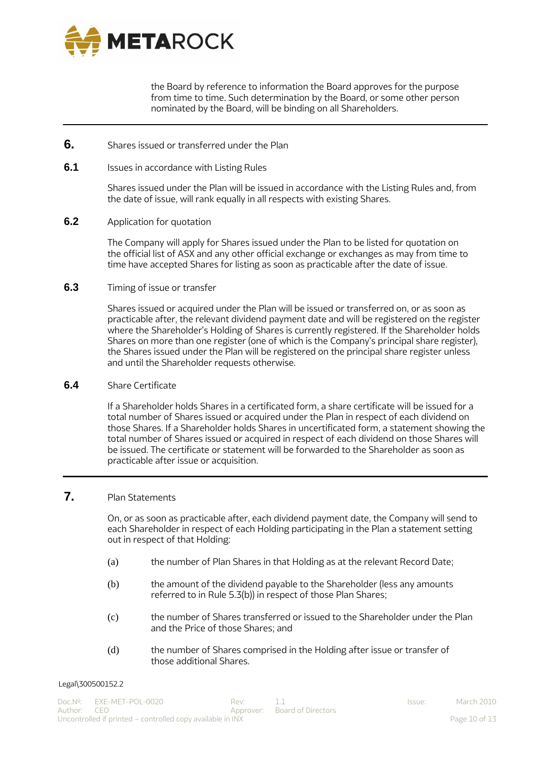

the Board by reference to information the Board approves for the purpose from time to time. Such determination by the Board, or some other person nominated by the Board, will be binding on all Shareholders.

- <span id="page-9-0"></span>**6.** Shares issued or transferred under the Plan
- <span id="page-9-1"></span>**6.1** Issues in accordance with Listing Rules

Shares issued under the Plan will be issued in accordance with the Listing Rules and, from the date of issue, will rank equally in all respects with existing Shares.

<span id="page-9-2"></span>**6.2** Application for quotation

The Company will apply for Shares issued under the Plan to be listed for quotation on the official list of ASX and any other official exchange or exchanges as may from time to time have accepted Shares for listing as soon as practicable after the date of issue.

<span id="page-9-3"></span>**6.3** Timing of issue or transfer

Shares issued or acquired under the Plan will be issued or transferred on, or as soon as practicable after, the relevant dividend payment date and will be registered on the register where the Shareholder's Holding of Shares is currently registered. If the Shareholder holds Shares on more than one register (one of which is the Company's principal share register), the Shares issued under the Plan will be registered on the principal share register unless and until the Shareholder requests otherwise.

<span id="page-9-4"></span>**6.4** Share Certificate

If a Shareholder holds Shares in a certificated form, a share certificate will be issued for a total number of Shares issued or acquired under the Plan in respect of each dividend on those Shares. If a Shareholder holds Shares in uncertificated form, a statement showing the total number of Shares issued or acquired in respect of each dividend on those Shares will be issued. The certificate or statement will be forwarded to the Shareholder as soon as practicable after issue or acquisition.

# <span id="page-9-5"></span>**7.** Plan Statements

On, or as soon as practicable after, each dividend payment date, the Company will send to each Shareholder in respect of each Holding participating in the Plan a statement setting out in respect of that Holding:

- (a) the number of Plan Shares in that Holding as at the relevant Record Date;
- (b) the amount of the dividend payable to the Shareholder (less any amounts referred to in Rule [5.3\(b\)\)](#page-7-5) in respect of those Plan Shares;
- (c) the number of Shares transferred or issued to the Shareholder under the Plan and the Price of those Shares; and
- (d) the number of Shares comprised in the Holding after issue or transfer of those additional Shares.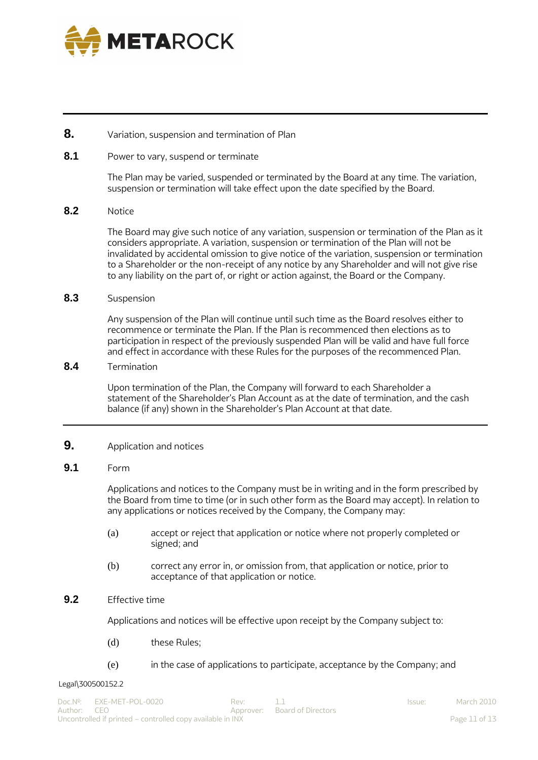

# <span id="page-10-0"></span>**8.** Variation, suspension and termination of Plan

# <span id="page-10-1"></span>**8.1** Power to vary, suspend or terminate

The Plan may be varied, suspended or terminated by the Board at any time. The variation, suspension or termination will take effect upon the date specified by the Board.

# <span id="page-10-2"></span>**8.2** Notice

The Board may give such notice of any variation, suspension or termination of the Plan as it considers appropriate. A variation, suspension or termination of the Plan will not be invalidated by accidental omission to give notice of the variation, suspension or termination to a Shareholder or the non-receipt of any notice by any Shareholder and will not give rise to any liability on the part of, or right or action against, the Board or the Company.

# <span id="page-10-3"></span>**8.3** Suspension

Any suspension of the Plan will continue until such time as the Board resolves either to recommence or terminate the Plan. If the Plan is recommenced then elections as to participation in respect of the previously suspended Plan will be valid and have full force and effect in accordance with these Rules for the purposes of the recommenced Plan.

# <span id="page-10-4"></span>**8.4** Termination

Upon termination of the Plan, the Company will forward to each Shareholder a statement of the Shareholder's Plan Account as at the date of termination, and the cash balance (if any) shown in the Shareholder's Plan Account at that date.

# <span id="page-10-5"></span>**9.** Application and notices

# <span id="page-10-6"></span>**9.1** Form

Applications and notices to the Company must be in writing and in the form prescribed by the Board from time to time (or in such other form as the Board may accept). In relation to any applications or notices received by the Company, the Company may:

- (a) accept or reject that application or notice where not properly completed or signed; and
- (b) correct any error in, or omission from, that application or notice, prior to acceptance of that application or notice.

# <span id="page-10-7"></span>**9.2** Effective time

Applications and notices will be effective upon receipt by the Company subject to:

- (d) these Rules;
- (e) in the case of applications to participate, acceptance by the Company; and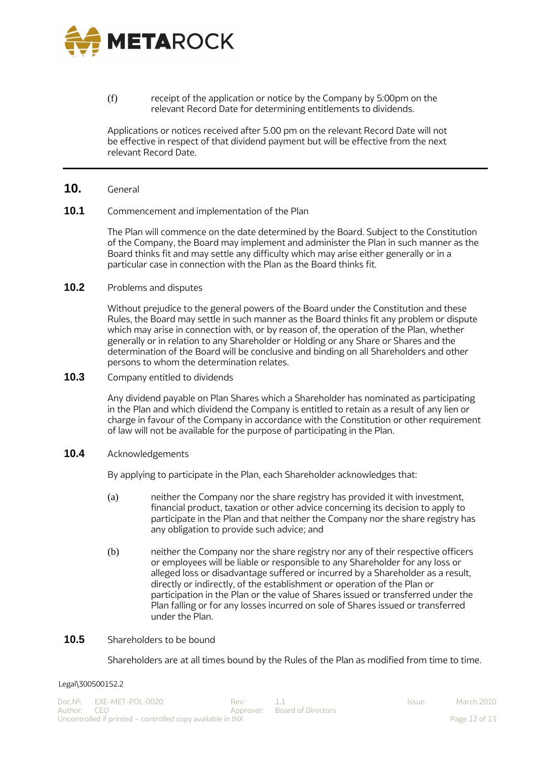

(f) receipt of the application or notice by the Company by 5:00pm on the relevant Record Date for determining entitlements to dividends.

Applications or notices received after 5.00 pm on the relevant Record Date will not be effective in respect of that dividend payment but will be effective from the next relevant Record Date.

# <span id="page-11-0"></span>**10.** General

#### <span id="page-11-1"></span>**10.1** Commencement and implementation of the Plan

The Plan will commence on the date determined by the Board. Subject to the Constitution of the Company, the Board may implement and administer the Plan in such manner as the Board thinks fit and may settle any difficulty which may arise either generally or in a particular case in connection with the Plan as the Board thinks fit.

# <span id="page-11-2"></span>**10.2** Problems and disputes

Without prejudice to the general powers of the Board under the Constitution and these Rules, the Board may settle in such manner as the Board thinks fit any problem or dispute which may arise in connection with, or by reason of, the operation of the Plan, whether generally or in relation to any Shareholder or Holding or any Share or Shares and the determination of the Board will be conclusive and binding on all Shareholders and other persons to whom the determination relates.

<span id="page-11-3"></span>**10.3** Company entitled to dividends

Any dividend payable on Plan Shares which a Shareholder has nominated as participating in the Plan and which dividend the Company is entitled to retain as a result of any lien or charge in favour of the Company in accordance with the Constitution or other requirement of law will not be available for the purpose of participating in the Plan.

<span id="page-11-4"></span>**10.4** Acknowledgements

By applying to participate in the Plan, each Shareholder acknowledges that:

- (a) neither the Company nor the share registry has provided it with investment, financial product, taxation or other advice concerning its decision to apply to participate in the Plan and that neither the Company nor the share registry has any obligation to provide such advice; and
- (b) neither the Company nor the share registry nor any of their respective officers or employees will be liable or responsible to any Shareholder for any loss or alleged loss or disadvantage suffered or incurred by a Shareholder as a result, directly or indirectly, of the establishment or operation of the Plan or participation in the Plan or the value of Shares issued or transferred under the Plan falling or for any losses incurred on sole of Shares issued or transferred under the Plan.

# <span id="page-11-5"></span>**10.5** Shareholders to be bound

Shareholders are at all times bound by the Rules of the Plan as modified from time to time.